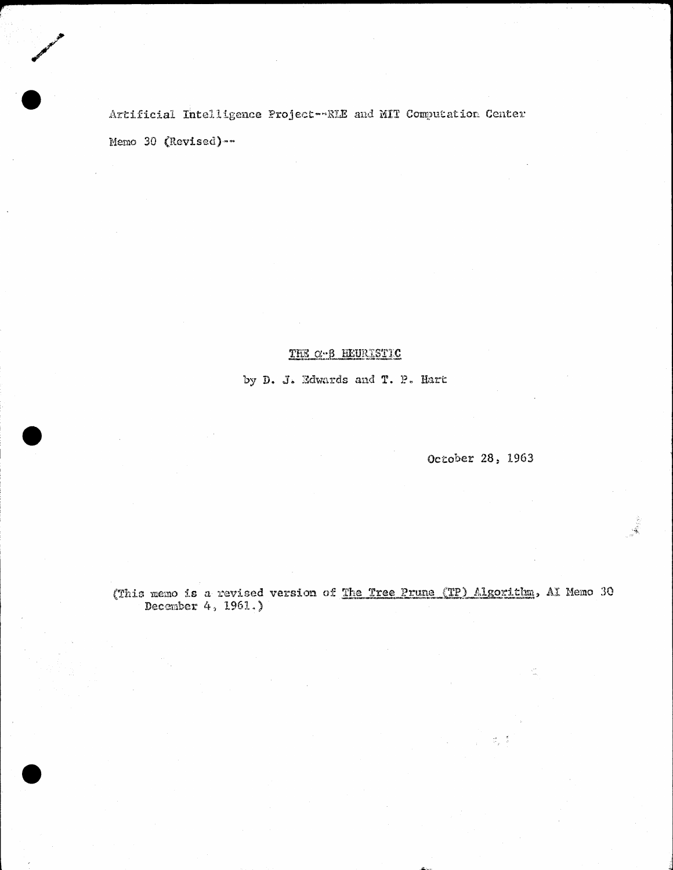Artificial Intelligence Project-RIE and MIT Computation Center Memo 30 (Revised) --

## THE C-B HEURISTIC

by D. J. Edwards and T. P. Hart

October 28, 1963

ನ್ನ ನಿ

 $\cdot \mathcal{L}$ 

(This memo is a revised version of The Tree Prune (TP) Algorithm, AI Memo 30 December 4, 1961.)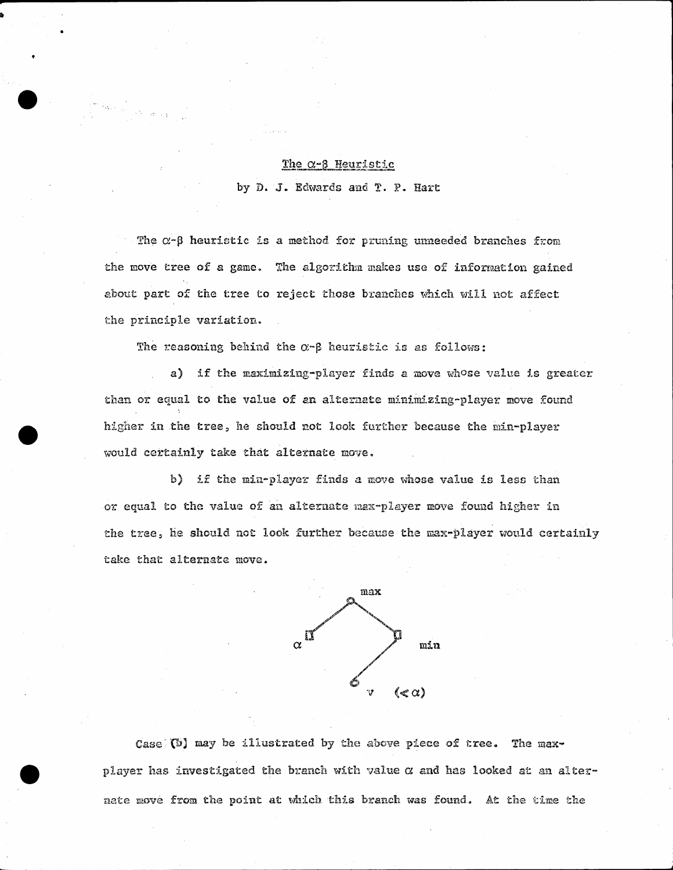## The  $\alpha$ - $\beta$  Heuristic

by D. J. Edwards and T. P. Hart

The  $\alpha$ - $\beta$  heuristic is a method for pruning unneeded branches from the move tree of a game. The algorithm makes use of information gained about part of the tree to reject those branches which will not affect the principle variation.

The reasoning behind the  $\alpha$ - $\beta$  heuristic is as follows:

a) if the maximizing-player finds a move whose value is greater than or equal to the value of an alternate minimizing-player move found higher in the tree, he should not look further because the min-player would certainly take that alternate move.

b) if the min-player finds a move whose value is less than or equal to the value of an alternate max-player move found higher in the tree, he should not look further because the max-player would certainly take that alternate move.



Case (b) may be illustrated by the above piece of tree. The maxplayer has investigated the branch with value  $\alpha$  and has looked at an alternate move from the point at which this branch was found. At the time the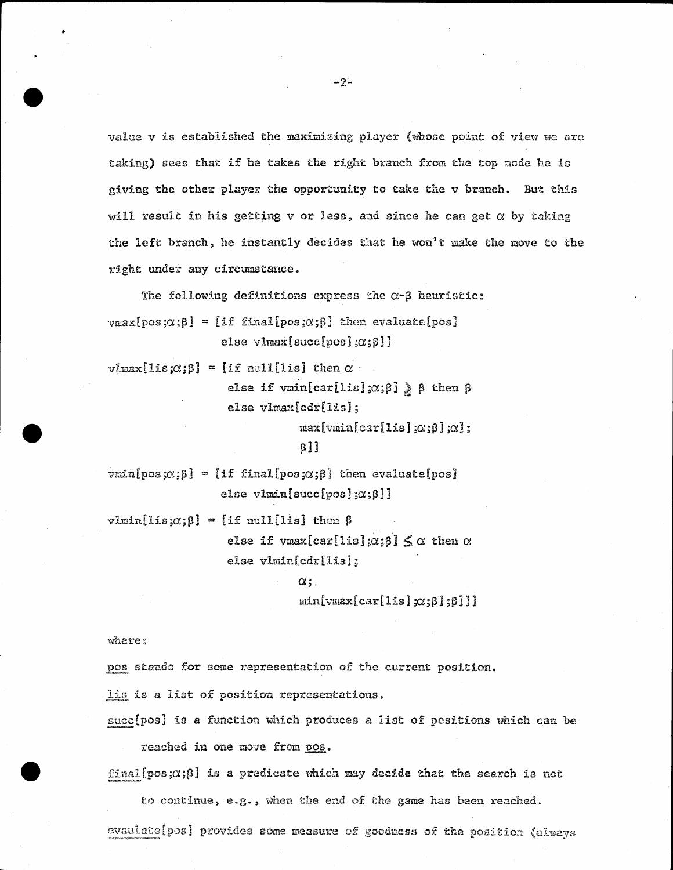value v is established the maximizing player (whose point of view we are taking) sees that if he takes the right branch from the top node he is giving the other player the opportunity to take the v branch. But this will result in his getting  $v$  or less, and since he can get  $\alpha$  by taking the left branch, he instantly decides that he won't make the move to the right under any circumstance.

The following definitions express the  $\alpha$ - $\beta$  heuristic:  $\text{max}[\text{pos};\alpha;\beta] = [\text{if final}[\text{pos};\alpha;\beta]$  then evaluate[pos] else vlmax[succ[pos]; $\alpha$ ; $\beta$ ]]

 $v1max[1is;\alpha;\beta] = [if null[1is] then \alpha$ 

else if vmin[car[lis]; $\alpha$ ; $\beta$ ] >  $\beta$  then  $\beta$ else vlmax[cdr[lis];

 $max[*vmin*[car[1is]; $\alpha$ ; $\beta$ ]; $\alpha$ ];$ 

## $B11$

 $vanlpos \{ \alpha \} = [if finallpos \alpha \}$ ; chen evaluate [pos] else vlmin[succ[pos]; $\alpha$ ; $\beta$ ]]

 $vlmin[1is;\alpha;\beta] = [if null[1is] then \beta$ else if vmax[car[lis]; $\alpha$ ; $\beta$ ]  $\leq \alpha$  then  $\alpha$ else vlmin[cdr[1is];

> $\alpha$  ; .  $min[var[car[1is]x; \beta]; \beta]]$

where:

pos stands for some representation of the current position.

lis is a list of position representations.

succ[pos] is a function which produces a list of positions which can be

reached in one move from pos.

final [pos; $\alpha$ ; $\beta$ ] is a predicate which may decide that the search is not

to continue, e.g., when the end of the game has been reached. evaulate[pos] provides some measure of goodness of the position (always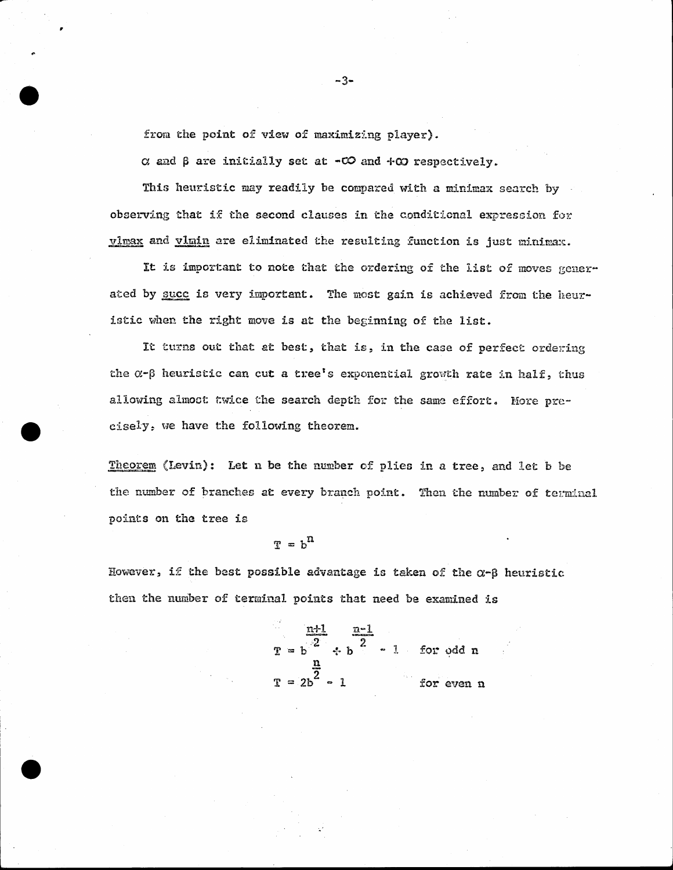from the point of view of maximizing player).

 $\alpha$  and  $\beta$  are initially set at  $-\infty$  and  $+\infty$  respectively.

This heuristic may readily be compared with a minimax search by observing that if the second clauses in the conditional expression for vimax and vinin are eliminated the resulting function is just minimax.

It is important to note that the ordering of the list of moves generated by succ is very important. The most gain is achieved from the heuristic when the right move is at the beginning of the list.

It turns out that at best, that is, in the case of perfect ordering the  $\alpha$ - $\beta$  heuristic can cut a tree's exponential growth rate in half, thus allowing almost twice the search depth for the same effort. More precisely, we have the following theorem.

Theorem (Levin): Let n be the number of plies in a tree, and let b be the number of branches at every branch point. Then the number of terminal points on the tree is

 $T = h^{n}$ 

However, if the best possible advantage is taken of the  $\alpha$ -B heuristic then the number of terminal points that need be examined is

$$
\frac{n+1}{2} \div b \qquad \frac{n-1}{2}
$$
\n
$$
T = 2b^2 - 1
$$
\nfor odd n\n
$$
T = 2b^2 - 1
$$
\nfor even n

 $-3-$